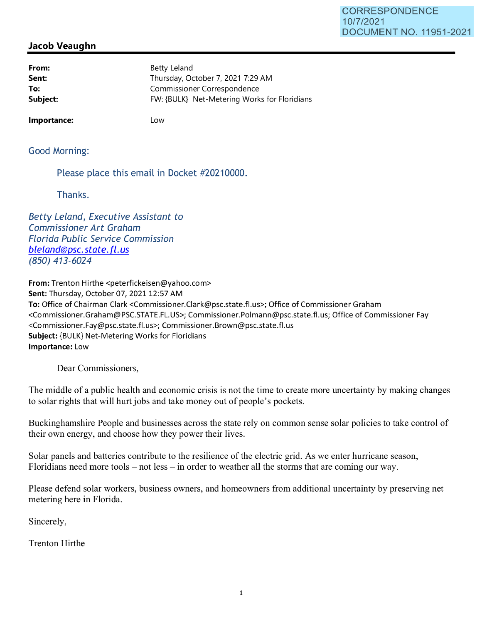## **Jacob Veaughn**

| From:    | Betty Leland                                 |
|----------|----------------------------------------------|
| Sent:    | Thursday, October 7, 2021 7:29 AM            |
| To:      | Commissioner Correspondence                  |
| Subject: | FW: {BULK} Net-Metering Works for Floridians |

**Importance:** 

Low

Good Morning:

Please place this email in Docket #20210000.

Thanks.

Betty Leland, Executive Assistant to Commissioner Art Graham Florida Public Service Commission bleland@psc. state. fl. us (850) 413-6024

**From:** Trenton Hirthe <peterfickeisen@yahoo.com> **Sent: Thursday, October 07, 2021 12:57 AM To:** Office of Chairman Clark <Commissioner.Clark@psc.state.fl.us>; Office of Commissioner Graham <Commissioner.Graham@PSC.STATE.FL.US>; Commissioner.Polmann@psc.state.fl.us; Office of Commissioner Fay <Commissioner.Fay@psc.state.fl.us>; Commissioner.Brown@psc.state.fl.us **Subject:** {BULK} Net-Metering Works for Floridians **Importance:** Low

Dear Commissioners,

The middle of a public health and economic crisis is not the time to create more uncertainty by making changes to solar rights that will hurt jobs and take money out of people's pockets.

Buckinghamshire People and businesses across the state rely on common sense solar policies to take control of their own energy, and choose how they power their lives.

Solar panels and batteries contribute to the resilience of the electric grid. As we enter hurricane season, Floridians need more tools – not less – in order to weather all the storms that are coming our way.

Please defend solar workers, business owners, and homeowners from additional uncertainty by preserving net metering here in Florida.

Sincerely,

Trenton Hirthe